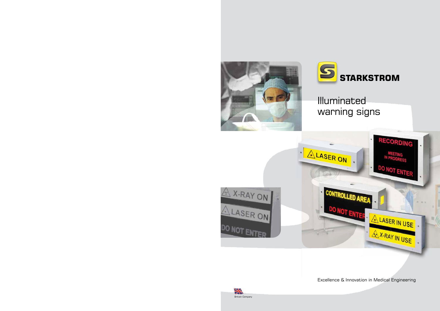



Illuminated warning signs



Excellence & Innovation in Medical Engineering

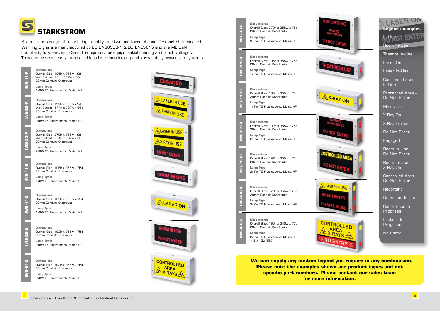Controlled Area – Do Not Enter

**Recording** 

Lecture In **Progress** 



Theatre In-Use

Laser On

Laser In-Use

Caution – Laser In-Use

Protected Area – Do Not Enter

Mains On

X-Ray On

| <b>STARRES</b>   | <b>Dimensions:</b><br>Overall Size: 279h x 355w x 75d<br>20mm Conduit Knockouts<br>Lamp Type:<br>3x8W T5 Fluorescent. Mains HF                 | ₹Есо   |
|------------------|------------------------------------------------------------------------------------------------------------------------------------------------|--------|
| <b>MS-11-5L</b>  | <b>Dimensions:</b><br>Overall Size: 105h x 355w x 75d<br>20mm Conduit Knockouts<br>Lamp Type:<br>1x8W T5 Fluorescent, Mains HF                 |        |
| <b>MS-11-5L</b>  | <b>Dimensions:</b><br>Overall Size: 105h x 355w x 75d<br>20mm Conduit Knockouts<br>Lamp Type:<br>1x8W T5 Fluorescent. Mains HF                 |        |
| <b>TRACKER</b>   | <b>Dimensions:</b><br>Overall Size: 192h x 355w x 75d<br>20mm Conduit Knockouts<br>Lamp Type:<br>2x8W T5 Fluorescent. Mains HF                 |        |
|                  | <b>Dimensions:</b><br>Overall Size: 192h x 355w x 75d<br>20mm Conduit Knockouts<br>Lamp Type:<br>2x8W T5 Fluorescent. Mains HF                 |        |
| <b>INS-33-SL</b> | <b>Dimensions:</b><br>Overall Size: 279h x 355w x 75d<br>20mm Conduit Knockouts<br>Lamp Type:<br>3x8W T5 Fluorescent. Mains HF                 | A LASE |
| <b>NS-40-SL</b>  | <b>Dimensions:</b><br>Overall Size: 195h x 340w x 77d<br>20mm Conduit Knockouts<br>Lamp Type:<br>2x8W T5 Fluorescent. Mains HF<br>$+2x15w$ SBC | CONTR  |
|                  |                                                                                                                                                |        |

X-Ray In-Use

Do Not Enter

**Engaged** 

Room In-Use – Do Not Enter

Room In-Use – X-Ray On

Darkroom In Use

Conference In Progress

No Entry

**We can supply any custom legend you require in any combination. Please note the examples shown are product types and not specific part numbers. Please contact our sales team for more information.**

Starkstrom's range of robust, high quality, one two and three channel CE marked Illuminated Warning Signs are manufactured to BS EN60598-1 & BS EN55015 and are MEIGaN compliant, fully earthed, Class 1 equipment for equipotential bonding and touch voltages. They can be seamlessly integrated into laser interlocking and x-ray safety protection systems.

| <b>IWS-11-F</b>    | <b>Dimensions:</b><br>Overall Size: 105h x 355w x 9d<br>Wall Cutout: 90h x 337w x 66d<br>20mm Conduit Knockouts<br>Lamp Type:<br>1x8W T5 Fluorescent, Mains HF  | <b>ENGAGED</b>                                    |
|--------------------|-----------------------------------------------------------------------------------------------------------------------------------------------------------------|---------------------------------------------------|
| <b>IWS-22-F</b>    | <b>Dimensions:</b><br>Overall Size: 192h x 355w x 9d<br>Wall Cutout: 177h x 337w x 66d<br>20mm Conduit Knockouts<br>Lamp Type:<br>2x8W T5 Fluorescent. Mains HF | <b>ALASER IN USE</b><br>A X-RAY IN USE            |
| <b>IWS-33-F</b>    | <b>Dimensions:</b><br>Overall Size: 279h x 355w x 9d<br>Wall Cutout: 264h x 337w x 66d<br>20mm Conduit Knockouts<br>Lamp Type:<br>3x8W T5 Fluorescent. Mains HF | ALASER IN USE .<br>A X-RAY IN USE<br>DO NOT ENTER |
| <b>IWS-11-5</b>    | <b>Dimensions:</b><br>Overall Size: 105h x 355w x 75d<br>20mm Conduit Knockouts<br><b>Lamp Type:</b><br>1x8W T5 Fluorescent. Mains HF                           | <b>ROOM IN US</b>                                 |
| <b>IWS-11-5</b>    | <b>Dimensions:</b><br>Overall Size: 105h x 355w x 75d<br>20mm Conduit Knockouts<br>Lamp Type:<br>1x8W T5 Fluorescent, Mains HF                                  | ALASER ON                                         |
| ၯ<br><b>IWS-22</b> | <b>Dimensions:</b><br>Overall Size: 192h x 355w x 75d<br>20mm Conduit Knockouts<br>Lamp Type:<br>2x8W T5 Fluorescent. Mains HF                                  | DO NOT ENTER                                      |
| <b>IWS-21-5</b>    | <b>Dimensions:</b><br>Overall Size: 192h x 355w x 75d<br>20mm Conduit Knockouts<br>Lamp Type:<br>2x8W T5 Fluorescent, Mains HF                                  | CONTROLLED                                        |